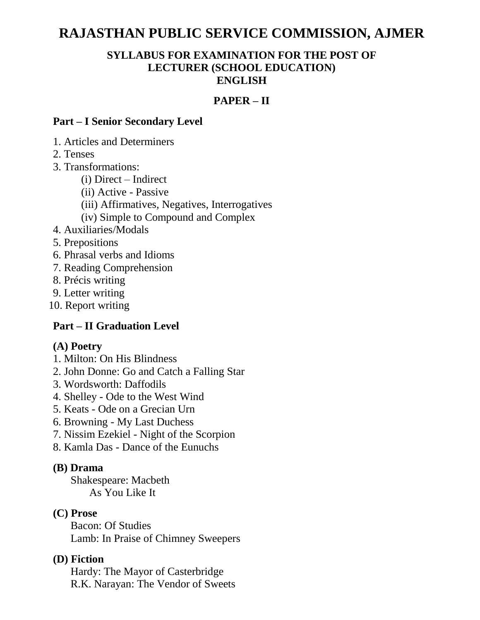# **RAJASTHAN PUBLIC SERVICE COMMISSION, AJMER**

#### **SYLLABUS FOR EXAMINATION FOR THE POST OF LECTURER (SCHOOL EDUCATION) ENGLISH**

# **PAPER – II**

#### **Part – I Senior Secondary Level**

1. Articles and Determiners

2. Tenses

- 3. Transformations:
	- (i) Direct Indirect
	- (ii) Active Passive
	- (iii) Affirmatives, Negatives, Interrogatives
	- (iv) Simple to Compound and Complex
- 4. Auxiliaries/Modals
- 5. Prepositions
- 6. Phrasal verbs and Idioms
- 7. Reading Comprehension
- 8. Précis writing
- 9. Letter writing
- 10. Report writing

# **Part – II Graduation Level**

#### **(A) Poetry**

- 1. Milton: On His Blindness
- 2. John Donne: Go and Catch a Falling Star
- 3. Wordsworth: Daffodils
- 4. Shelley Ode to the West Wind
- 5. Keats Ode on a Grecian Urn
- 6. Browning My Last Duchess
- 7. Nissim Ezekiel Night of the Scorpion
- 8. Kamla Das Dance of the Eunuchs

#### **(B) Drama**

Shakespeare: Macbeth As You Like It

#### **(C) Prose**

Bacon: Of Studies Lamb: In Praise of Chimney Sweepers

#### **(D) Fiction**

Hardy: The Mayor of Casterbridge R.K. Narayan: The Vendor of Sweets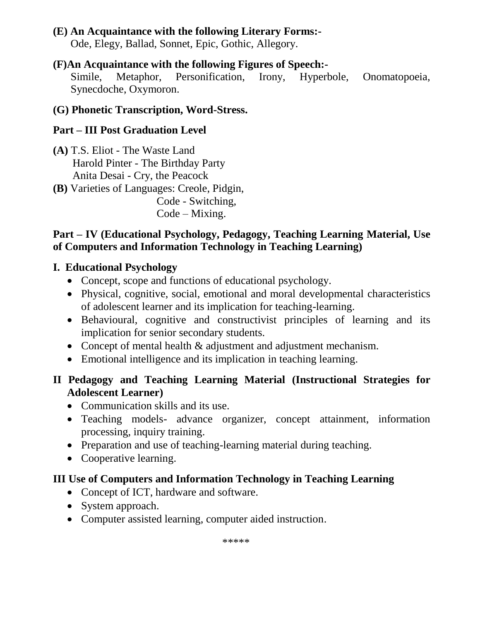# **(E) An Acquaintance with the following Literary Forms:-**

Ode, Elegy, Ballad, Sonnet, Epic, Gothic, Allegory.

#### **(F)An Acquaintance with the following Figures of Speech:-**

Simile, Metaphor, Personification, Irony, Hyperbole, Onomatopoeia, Synecdoche, Oxymoron.

### **(G) Phonetic Transcription, Word-Stress.**

# **Part – III Post Graduation Level**

- **(A)** T.S. Eliot The Waste Land Harold Pinter - The Birthday Party Anita Desai - Cry, the Peacock
- **(B)** Varieties of Languages: Creole, Pidgin,

 Code - Switching, Code – Mixing.

### **Part – IV (Educational Psychology, Pedagogy, Teaching Learning Material, Use of Computers and Information Technology in Teaching Learning)**

# **I. Educational Psychology**

- Concept, scope and functions of educational psychology.
- Physical, cognitive, social, emotional and moral developmental characteristics of adolescent learner and its implication for teaching-learning.
- Behavioural, cognitive and constructivist principles of learning and its implication for senior secondary students.
- Concept of mental health & adjustment and adjustment mechanism.
- Emotional intelligence and its implication in teaching learning.

# **II Pedagogy and Teaching Learning Material (Instructional Strategies for Adolescent Learner)**

- Communication skills and its use.
- Teaching models- advance organizer, concept attainment, information processing, inquiry training.
- Preparation and use of teaching-learning material during teaching.
- Cooperative learning.

# **III Use of Computers and Information Technology in Teaching Learning**

- Concept of ICT, hardware and software.
- System approach.
- Computer assisted learning, computer aided instruction.